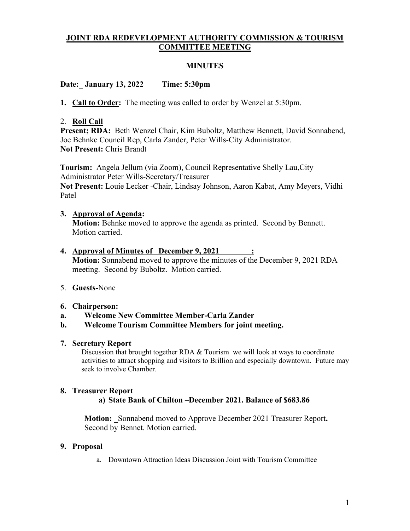# **JOINT RDA REDEVELOPMENT AUTHORITY COMMISSION & TOURISM COMMITTEE MEETING**

#### **MINUTES**

## **Date:\_ January 13, 2022 Time: 5:30pm**

**1. Call to Order:** The meeting was called to order by Wenzel at 5:30pm.

## 2. **Roll Call**

Present; RDA: Beth Wenzel Chair, Kim Buboltz, Matthew Bennett, David Sonnabend, Joe Behnke Council Rep, Carla Zander, Peter Wills-City Administrator. **Not Present:** Chris Brandt

**Tourism:** Angela Jellum (via Zoom), Council Representative Shelly Lau,City Administrator Peter Wills-Secretary/Treasurer **Not Present:** Louie Lecker -Chair, Lindsay Johnson, Aaron Kabat, Amy Meyers, Vidhi Patel

## **3. Approval of Agenda:**

**Motion:** Behnke moved to approve the agenda as printed. Second by Bennett. Motion carried.

#### **4. Approval of Minutes of \_December 9, 2021\_\_\_\_\_\_\_\_: Motion:** Sonnabend moved to approve the minutes of the December 9, 2021 RDA meeting. Second by Buboltz. Motion carried.

# 5. **Guests-**None

#### **6. Chairperson:**

- **a. Welcome New Committee Member-Carla Zander**
- **b. Welcome Tourism Committee Members for joint meeting.**

#### **7. Secretary Report**

Discussion that brought together RDA & Tourism we will look at ways to coordinate activities to attract shopping and visitors to Brillion and especially downtown. Future may seek to involve Chamber.

#### **8. Treasurer Report**

#### **a) State Bank of Chilton –December 2021. Balance of \$683.86**

**Motion:** \_Sonnabend moved to Approve December 2021 Treasurer Report**.** Second by Bennet. Motion carried.

#### **9. Proposal**

a. Downtown Attraction Ideas Discussion Joint with Tourism Committee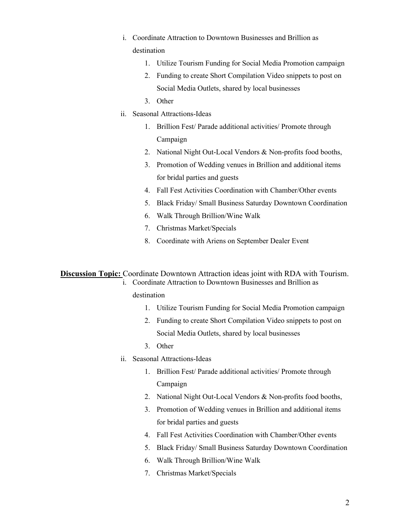- i. Coordinate Attraction to Downtown Businesses and Brillion as destination
	- 1. Utilize Tourism Funding for Social Media Promotion campaign
	- 2. Funding to create Short Compilation Video snippets to post on Social Media Outlets, shared by local businesses
	- 3. Other
- ii. Seasonal Attractions-Ideas
	- 1. Brillion Fest/ Parade additional activities/ Promote through Campaign
	- 2. National Night Out-Local Vendors & Non-profits food booths,
	- 3. Promotion of Wedding venues in Brillion and additional items for bridal parties and guests
	- 4. Fall Fest Activities Coordination with Chamber/Other events
	- 5. Black Friday/ Small Business Saturday Downtown Coordination
	- 6. Walk Through Brillion/Wine Walk
	- 7. Christmas Market/Specials
	- 8. Coordinate with Ariens on September Dealer Event

**Discussion Topic:** Coordinate Downtown Attraction ideas joint with RDA with Tourism.

i. Coordinate Attraction to Downtown Businesses and Brillion as

#### destination

- 1. Utilize Tourism Funding for Social Media Promotion campaign
- 2. Funding to create Short Compilation Video snippets to post on Social Media Outlets, shared by local businesses
- 3. Other
- ii. Seasonal Attractions-Ideas
	- 1. Brillion Fest/ Parade additional activities/ Promote through Campaign
	- 2. National Night Out-Local Vendors & Non-profits food booths,
	- 3. Promotion of Wedding venues in Brillion and additional items for bridal parties and guests
	- 4. Fall Fest Activities Coordination with Chamber/Other events
	- 5. Black Friday/ Small Business Saturday Downtown Coordination
	- 6. Walk Through Brillion/Wine Walk
	- 7. Christmas Market/Specials